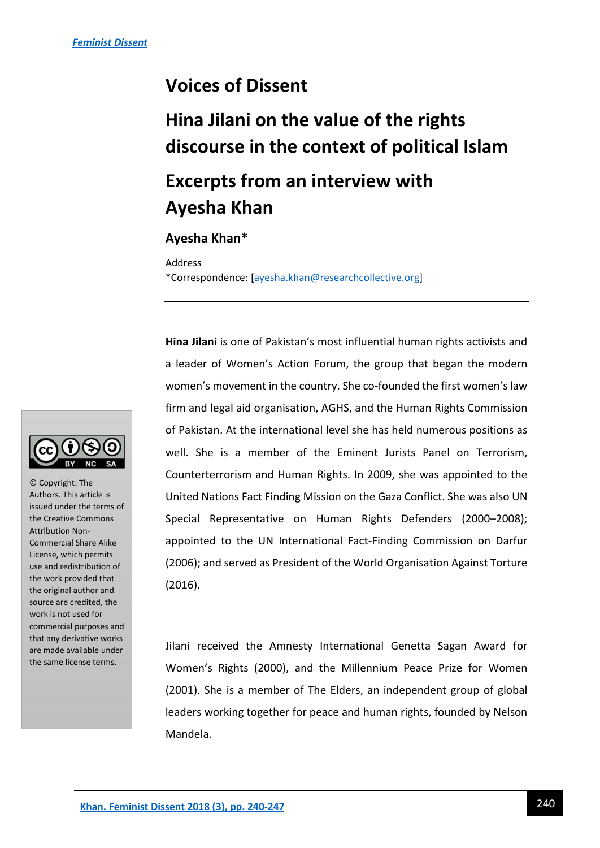## **Voices of Dissent**

# **Hina Jilani on the value of the rights discourse in the context of political Islam**

## **Excerpts from an interview with Ayesha Khan**

#### **Ayesha Khan\***

Address

\*Correspondence: [\[ayesha.khan@researchcollective.org\]](mailto:ayesha.khan@researchcollective.org)

**Hina Jilani** is one of Pakistan's most influential human rights activists and a leader of Women's Action Forum, the group that began the modern women's movement in the country. She co-founded the first women's law firm and legal aid organisation, AGHS, and the Human Rights Commission of Pakistan. At the international level she has held numerous positions as well. She is a member of the Eminent Jurists Panel on Terrorism, Counterterrorism and Human Rights. In 2009, she was appointed to the United Nations Fact Finding Mission on the Gaza Conflict. She was also UN Special Representative on Human Rights Defenders (2000–2008); appointed to the UN International Fact-Finding Commission on Darfur (2006); and served as President of the World Organisation Against Torture (2016).

Jilani received the Amnesty International Genetta Sagan Award for Women's Rights (2000), and the Millennium Peace Prize for Women (2001). She is a member of The Elders, an independent group of global leaders working together for peace and human rights, founded by Nelson Mandela.



© Copyright: The Authors. This article is issued under the terms of the Creative Commons Attribution Non-Commercial Share Alike License, which permits use and redistribution of the work provided that the original author and source are credited, the work is not used for commercial purposes and that any derivative works are made available under the same license terms.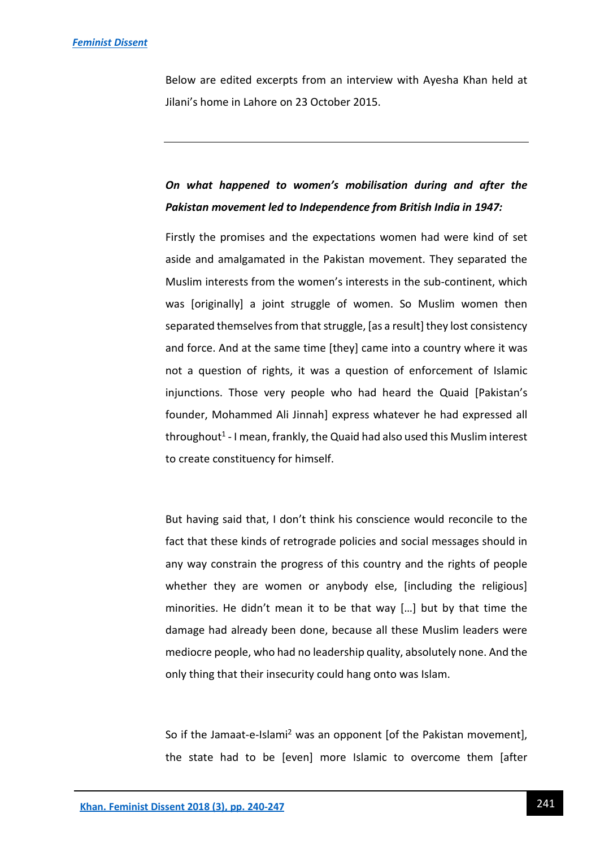Below are edited excerpts from an interview with Ayesha Khan held at Jilani's home in Lahore on 23 October 2015.

### *On what happened to women's mobilisation during and after the Pakistan movement led to Independence from British India in 1947:*

Firstly the promises and the expectations women had were kind of set aside and amalgamated in the Pakistan movement. They separated the Muslim interests from the women's interests in the sub-continent, which was [originally] a joint struggle of women. So Muslim women then separated themselves from that struggle, [as a result] they lost consistency and force. And at the same time [they] came into a country where it was not a question of rights, it was a question of enforcement of Islamic injunctions. Those very people who had heard the Quaid [Pakistan's founder, Mohammed Ali Jinnah] express whatever he had expressed all throughout<sup>1</sup> - I mean, frankly, the Quaid had also used this Muslim interest to create constituency for himself.

But having said that, I don't think his conscience would reconcile to the fact that these kinds of retrograde policies and social messages should in any way constrain the progress of this country and the rights of people whether they are women or anybody else, [including the religious] minorities. He didn't mean it to be that way […] but by that time the damage had already been done, because all these Muslim leaders were mediocre people, who had no leadership quality, absolutely none. And the only thing that their insecurity could hang onto was Islam.

So if the Jamaat-e-Islami<sup>2</sup> was an opponent [of the Pakistan movement], the state had to be [even] more Islamic to overcome them [after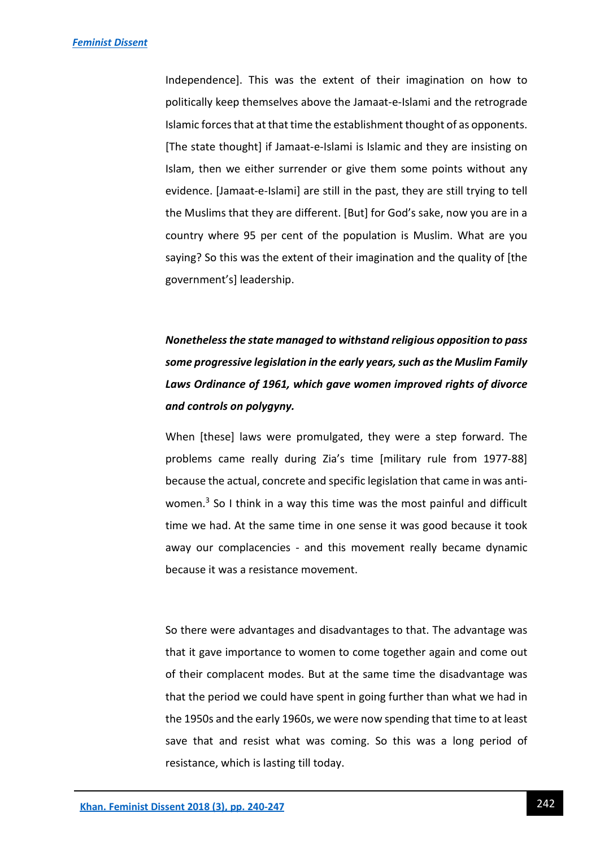Independence]. This was the extent of their imagination on how to politically keep themselves above the Jamaat-e-Islami and the retrograde Islamic forces that at that time the establishment thought of as opponents. [The state thought] if Jamaat-e-Islami is Islamic and they are insisting on Islam, then we either surrender or give them some points without any evidence. [Jamaat-e-Islami] are still in the past, they are still trying to tell the Muslims that they are different. [But] for God's sake, now you are in a country where 95 per cent of the population is Muslim. What are you saying? So this was the extent of their imagination and the quality of [the government's] leadership.

## *Nonetheless the state managed to withstand religious opposition to pass some progressive legislation in the early years, such as the Muslim Family Laws Ordinance of 1961, which gave women improved rights of divorce and controls on polygyny.*

When [these] laws were promulgated, they were a step forward. The problems came really during Zia's time [military rule from 1977-88] because the actual, concrete and specific legislation that came in was antiwomen.<sup>3</sup> So I think in a way this time was the most painful and difficult time we had. At the same time in one sense it was good because it took away our complacencies - and this movement really became dynamic because it was a resistance movement.

So there were advantages and disadvantages to that. The advantage was that it gave importance to women to come together again and come out of their complacent modes. But at the same time the disadvantage was that the period we could have spent in going further than what we had in the 1950s and the early 1960s, we were now spending that time to at least save that and resist what was coming. So this was a long period of resistance, which is lasting till today.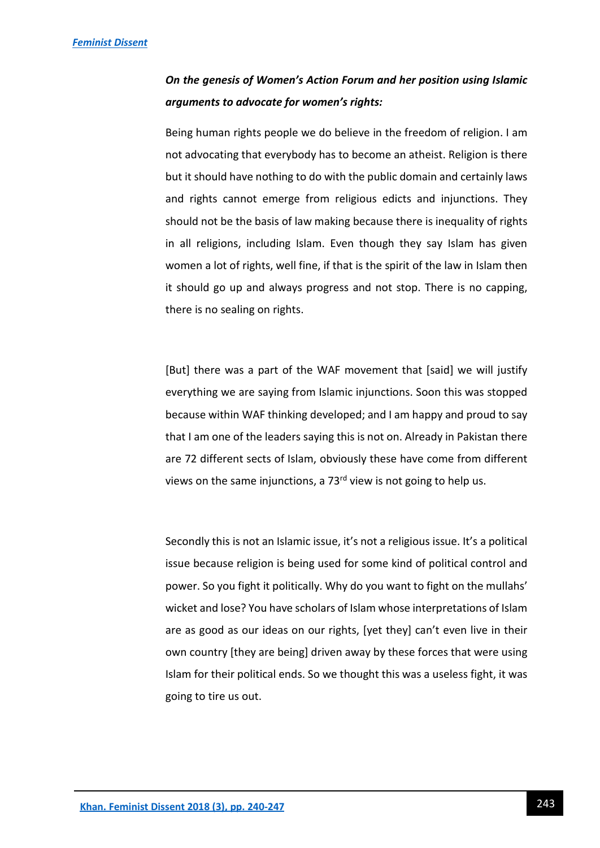### *On the genesis of Women's Action Forum and her position using Islamic arguments to advocate for women's rights:*

Being human rights people we do believe in the freedom of religion. I am not advocating that everybody has to become an atheist. Religion is there but it should have nothing to do with the public domain and certainly laws and rights cannot emerge from religious edicts and injunctions. They should not be the basis of law making because there is inequality of rights in all religions, including Islam. Even though they say Islam has given women a lot of rights, well fine, if that is the spirit of the law in Islam then it should go up and always progress and not stop. There is no capping, there is no sealing on rights.

[But] there was a part of the WAF movement that [said] we will justify everything we are saying from Islamic injunctions. Soon this was stopped because within WAF thinking developed; and I am happy and proud to say that I am one of the leaders saying this is not on. Already in Pakistan there are 72 different sects of Islam, obviously these have come from different views on the same injunctions, a  $73<sup>rd</sup>$  view is not going to help us.

Secondly this is not an Islamic issue, it's not a religious issue. It's a political issue because religion is being used for some kind of political control and power. So you fight it politically. Why do you want to fight on the mullahs' wicket and lose? You have scholars of Islam whose interpretations of Islam are as good as our ideas on our rights, [yet they] can't even live in their own country [they are being] driven away by these forces that were using Islam for their political ends. So we thought this was a useless fight, it was going to tire us out.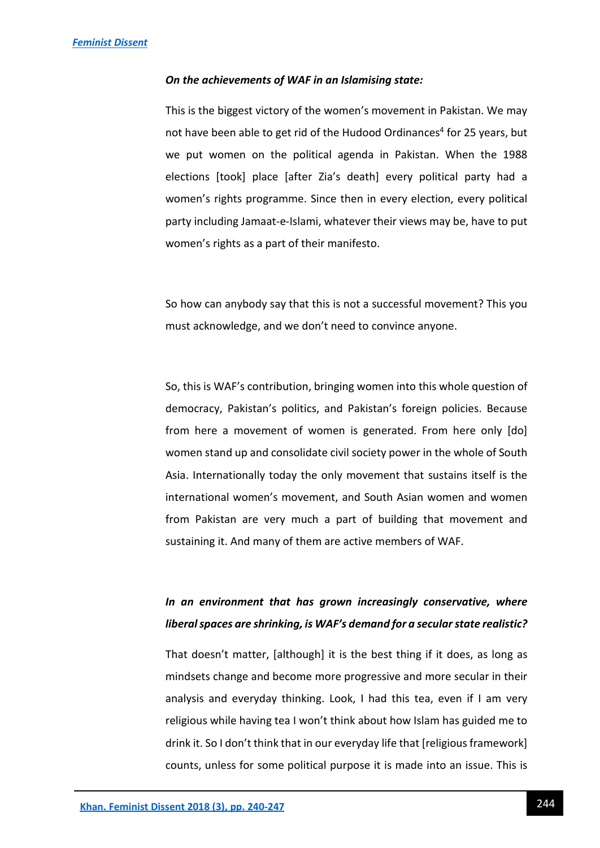#### *On the achievements of WAF in an Islamising state:*

This is the biggest victory of the women's movement in Pakistan. We may not have been able to get rid of the Hudood Ordinances<sup>4</sup> for 25 years, but we put women on the political agenda in Pakistan. When the 1988 elections [took] place [after Zia's death] every political party had a women's rights programme. Since then in every election, every political party including Jamaat-e-Islami, whatever their views may be, have to put women's rights as a part of their manifesto.

So how can anybody say that this is not a successful movement? This you must acknowledge, and we don't need to convince anyone.

So, this is WAF's contribution, bringing women into this whole question of democracy, Pakistan's politics, and Pakistan's foreign policies. Because from here a movement of women is generated. From here only [do] women stand up and consolidate civil society power in the whole of South Asia. Internationally today the only movement that sustains itself is the international women's movement, and South Asian women and women from Pakistan are very much a part of building that movement and sustaining it. And many of them are active members of WAF.

### *In an environment that has grown increasingly conservative, where liberal spaces are shrinking, is WAF's demand for a secular state realistic?*

That doesn't matter, [although] it is the best thing if it does, as long as mindsets change and become more progressive and more secular in their analysis and everyday thinking. Look, I had this tea, even if I am very religious while having tea I won't think about how Islam has guided me to drink it. So I don't think that in our everyday life that [religious framework] counts, unless for some political purpose it is made into an issue. This is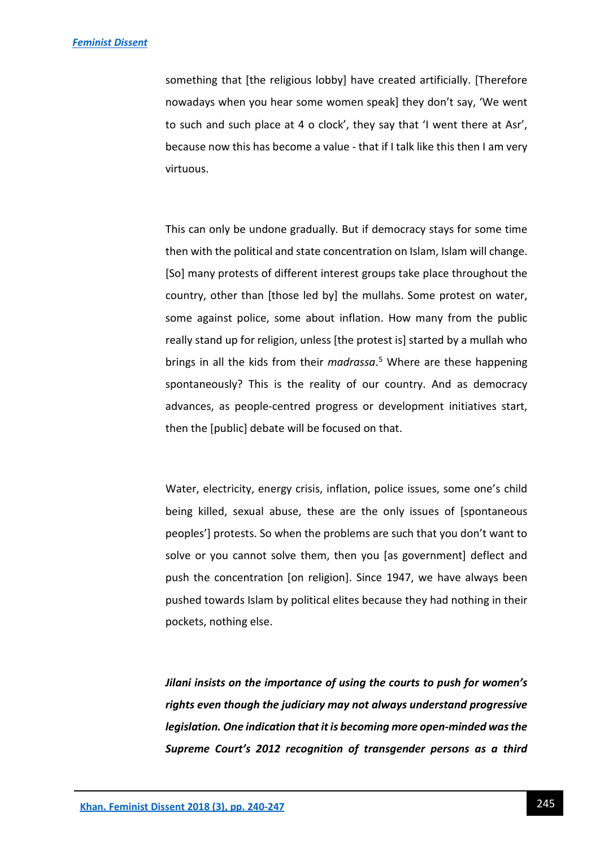something that [the religious lobby] have created artificially. [Therefore nowadays when you hear some women speak] they don't say, 'We went to such and such place at 4 o clock', they say that 'I went there at Asr', because now this has become a value - that if I talk like this then I am very virtuous.

This can only be undone gradually. But if democracy stays for some time then with the political and state concentration on Islam, Islam will change. [So] many protests of different interest groups take place throughout the country, other than [those led by] the mullahs. Some protest on water, some against police, some about inflation. How many from the public really stand up for religion, unless [the protest is] started by a mullah who brings in all the kids from their *madrassa*. 5 Where are these happening spontaneously? This is the reality of our country. And as democracy advances, as people-centred progress or development initiatives start, then the [public] debate will be focused on that.

Water, electricity, energy crisis, inflation, police issues, some one's child being killed, sexual abuse, these are the only issues of [spontaneous peoples'] protests. So when the problems are such that you don't want to solve or you cannot solve them, then you [as government] deflect and push the concentration [on religion]. Since 1947, we have always been pushed towards Islam by political elites because they had nothing in their pockets, nothing else.

*Jilani insists on the importance of using the courts to push for women's rights even though the judiciary may not always understand progressive legislation. One indication that it is becoming more open-minded was the Supreme Court's 2012 recognition of transgender persons as a third*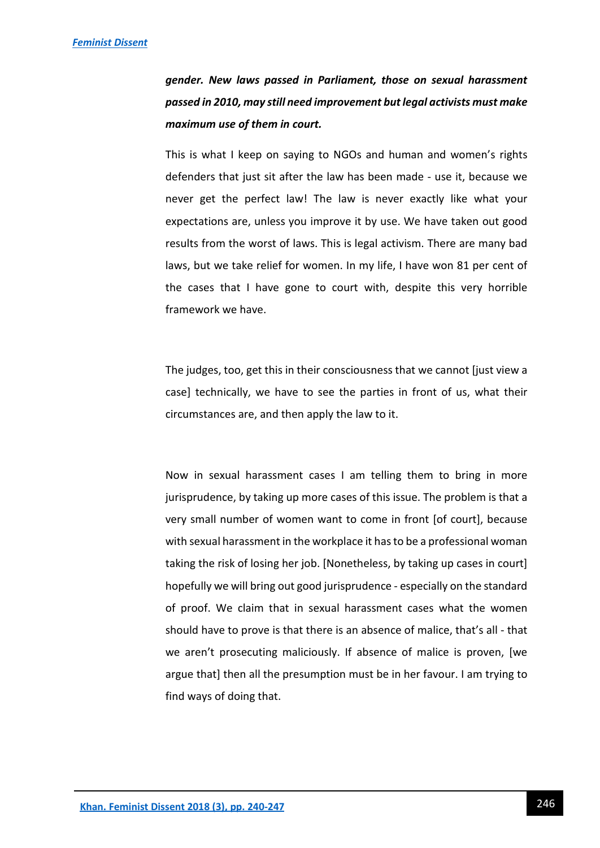*gender. New laws passed in Parliament, those on sexual harassment passed in 2010, may still need improvement but legal activists must make maximum use of them in court.* 

This is what I keep on saying to NGOs and human and women's rights defenders that just sit after the law has been made - use it, because we never get the perfect law! The law is never exactly like what your expectations are, unless you improve it by use. We have taken out good results from the worst of laws. This is legal activism. There are many bad laws, but we take relief for women. In my life, I have won 81 per cent of the cases that I have gone to court with, despite this very horrible framework we have.

The judges, too, get this in their consciousness that we cannot [just view a case] technically, we have to see the parties in front of us, what their circumstances are, and then apply the law to it.

Now in sexual harassment cases I am telling them to bring in more jurisprudence, by taking up more cases of this issue. The problem is that a very small number of women want to come in front [of court], because with sexual harassment in the workplace it has to be a professional woman taking the risk of losing her job. [Nonetheless, by taking up cases in court] hopefully we will bring out good jurisprudence - especially on the standard of proof. We claim that in sexual harassment cases what the women should have to prove is that there is an absence of malice, that's all - that we aren't prosecuting maliciously. If absence of malice is proven, [we argue that] then all the presumption must be in her favour. I am trying to find ways of doing that.